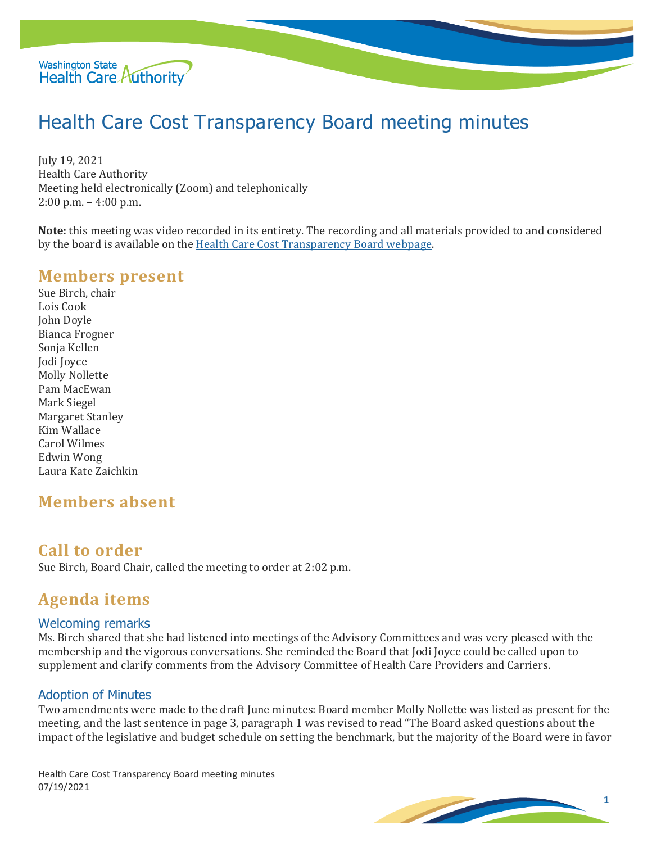

# Health Care Cost Transparency Board meeting minutes

July 19, 2021 Health Care Authority Meeting held electronically (Zoom) and telephonically 2:00 p.m. – 4:00 p.m.

**Note:** this meeting was video recorded in its entirety. The recording and all materials provided to and considered by the board is available on the [Health Care Cost Transparency Board webpage.](https://www.hca.wa.gov/about-hca/health-care-cost-transparency-board)

### **Members present**

Sue Birch, chair Lois Cook John Doyle Bianca Frogner Sonja Kellen Jodi Joyce Molly Nollette Pam MacEwan Mark Siegel Margaret Stanley Kim Wallace Carol Wilmes Edwin Wong Laura Kate Zaichkin

### **Members absent**

### **Call to order**

Sue Birch, Board Chair, called the meeting to order at 2:02 p.m.

## **Agenda items**

#### Welcoming remarks

Ms. Birch shared that she had listened into meetings of the Advisory Committees and was very pleased with the membership and the vigorous conversations. She reminded the Board that Jodi Joyce could be called upon to supplement and clarify comments from the Advisory Committee of Health Care Providers and Carriers.

#### Adoption of Minutes

Two amendments were made to the draft June minutes: Board member Molly Nollette was listed as present for the meeting, and the last sentence in page 3, paragraph 1 was revised to read "The Board asked questions about the impact of the legislative and budget schedule on setting the benchmark, but the majority of the Board were in favor

Health Care Cost Transparency Board meeting minutes 07/19/2021

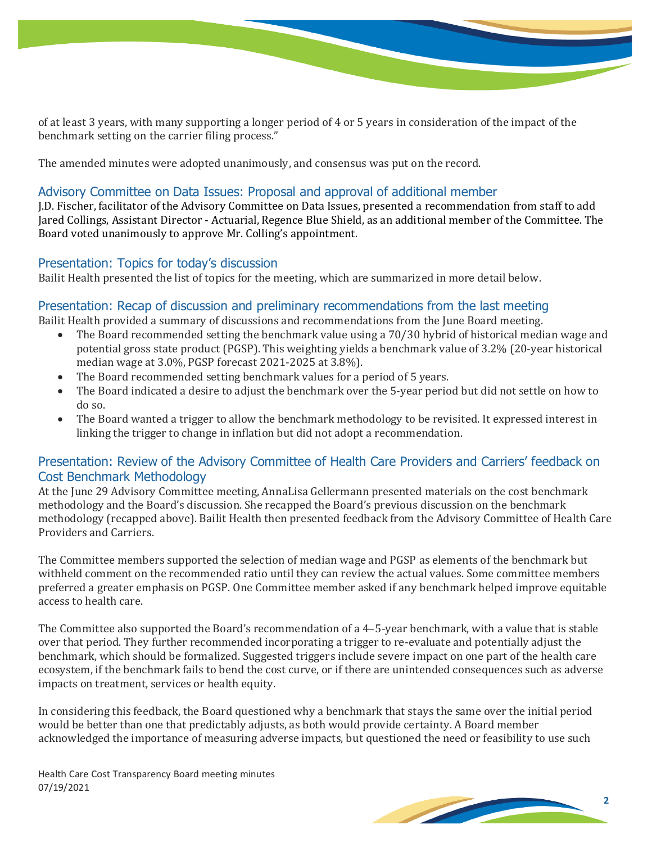of at least 3 years, with many supporting a longer period of 4 or 5 years in consideration of the impact of the benchmark setting on the carrier filing process."

The amended minutes were adopted unanimously, and consensus was put on the record.

#### Advisory Committee on Data Issues: Proposal and approval of additional member

J.D. Fischer, facilitator of the Advisory Committee on Data Issues, presented a recommendation from staff to add Jared Collings, Assistant Director - Actuarial, Regence Blue Shield, as an additional member of the Committee. The Board voted unanimously to approve Mr. Colling's appointment.

#### Presentation: Topics for today's discussion

Bailit Health presented the list of topics for the meeting, which are summarized in more detail below.

#### Presentation: Recap of discussion and preliminary recommendations from the last meeting

Bailit Health provided a summary of discussions and recommendations from the June Board meeting.

- The Board recommended setting the benchmark value using a 70/30 hybrid of historical median wage and potential gross state product (PGSP). This weighting yields a benchmark value of 3.2% (20-year historical median wage at 3.0%, PGSP forecast 2021-2025 at 3.8%).
- The Board recommended setting benchmark values for a period of 5 years.
- The Board indicated a desire to adjust the benchmark over the 5-year period but did not settle on how to do so.
- The Board wanted a trigger to allow the benchmark methodology to be revisited. It expressed interest in linking the trigger to change in inflation but did not adopt a recommendation.

#### Presentation: Review of the Advisory Committee of Health Care Providers and Carriers' feedback on Cost Benchmark Methodology

At the June 29 Advisory Committee meeting, AnnaLisa Gellermann presented materials on the cost benchmark methodology and the Board's discussion. She recapped the Board's previous discussion on the benchmark methodology (recapped above). Bailit Health then presented feedback from the Advisory Committee of Health Care Providers and Carriers.

The Committee members supported the selection of median wage and PGSP as elements of the benchmark but withheld comment on the recommended ratio until they can review the actual values. Some committee members preferred a greater emphasis on PGSP. One Committee member asked if any benchmark helped improve equitable access to health care.

The Committee also supported the Board's recommendation of a 4–5-year benchmark, with a value that is stable over that period. They further recommended incorporating a trigger to re-evaluate and potentially adjust the benchmark, which should be formalized. Suggested triggers include severe impact on one part of the health care ecosystem, if the benchmark fails to bend the cost curve, or if there are unintended consequences such as adverse impacts on treatment, services or health equity.

In considering this feedback, the Board questioned why a benchmark that stays the same over the initial period would be better than one that predictably adjusts, as both would provide certainty. A Board member acknowledged the importance of measuring adverse impacts, but questioned the need or feasibility to use such

Health Care Cost Transparency Board meeting minutes 07/19/2021

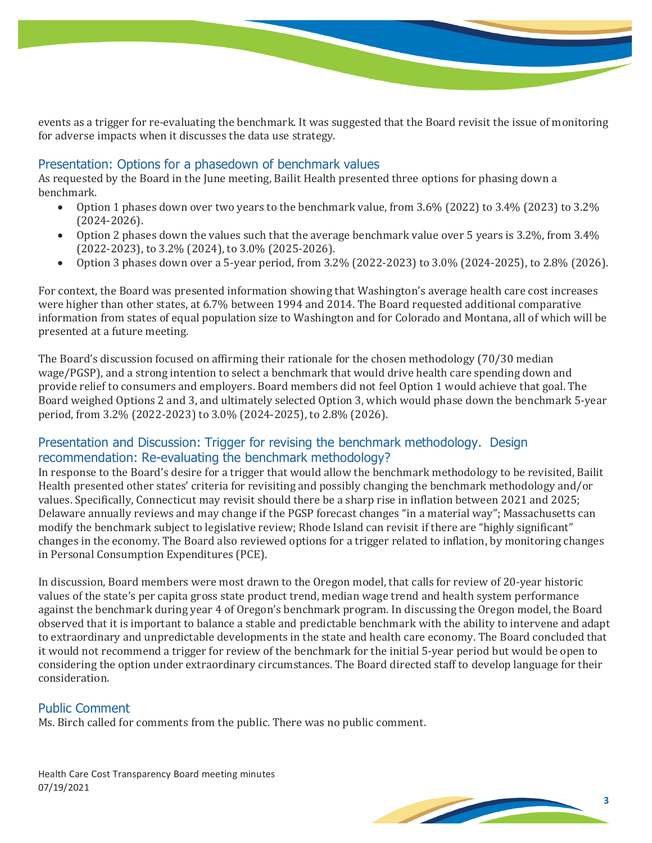events as a trigger for re-evaluating the benchmark. It was suggested that the Board revisit the issue of monitoring for adverse impacts when it discusses the data use strategy.

#### Presentation: Options for a phasedown of benchmark values

As requested by the Board in the June meeting, Bailit Health presented three options for phasing down a benchmark.<br>
• Ontion

- Option 1 phases down over two years to the benchmark value, from 3.6% (2022) to 3.4% (2023) to 3.2% (2024-2026).
- Option 2 phases down the values such that the average benchmark value over 5 years is 3.2%, from 3.4% (2022-2023), to 3.2% (2024), to 3.0% (2025-2026).
- Option 3 phases down over a 5-year period, from 3.2% (2022-2023) to 3.0% (2024-2025), to 2.8% (2026).

For context, the Board was presented information showing that Washington's average health care cost increases were higher than other states, at 6.7% between 1994 and 2014. The Board requested additional comparative information from states of equal population size to Washington and for Colorado and Montana, all of which will be presented at a future meeting.

The Board's discussion focused on affirming their rationale for the chosen methodology (70/30 median wage/PGSP), and a strong intention to select a benchmark that would drive health care spending down and provide relief to consumers and employers. Board members did not feel Option 1 would achieve that goal. The Board weighed Options 2 and 3, and ultimately selected Option 3, which would phase down the benchmark 5-year period, from 3.2% (2022-2023) to 3.0% (2024-2025), to 2.8% (2026).

#### Presentation and Discussion: Trigger for revising the benchmark methodology. Design recommendation: Re-evaluating the benchmark methodology?

In response to the Board's desire for a trigger that would allow the benchmark methodology to be revisited, Bailit Health presented other states' criteria for revisiting and possibly changing the benchmark methodology and/or values. Specifically, Connecticut may revisit should there be a sharp rise in inflation between 2021 and 2025; Delaware annually reviews and may change if the PGSP forecast changes "in a material way"; Massachusetts can modify the benchmark subject to legislative review; Rhode Island can revisit if there are "highly significant" changes in the economy. The Board also reviewed options for a trigger related to inflation, by monitoring changes in Personal Consumption Expenditures (PCE).

In discussion, Board members were most drawn to the Oregon model, that calls for review of 20-year historic values of the state's per capita gross state product trend, median wage trend and health system performance against the benchmark during year 4 of Oregon's benchmark program. In discussing the Oregon model, the Board observed that it is important to balance a stable and predictable benchmark with the ability to intervene and adapt to extraordinary and unpredictable developments in the state and health care economy. The Board concluded that it would not recommend a trigger for review of the benchmark for the initial 5-year period but would be open to considering the option under extraordinary circumstances. The Board directed staff to develop language for their consideration.

#### Public Comment

Ms. Birch called for comments from the public. There was no public comment.

Health Care Cost Transparency Board meeting minutes 07/19/2021